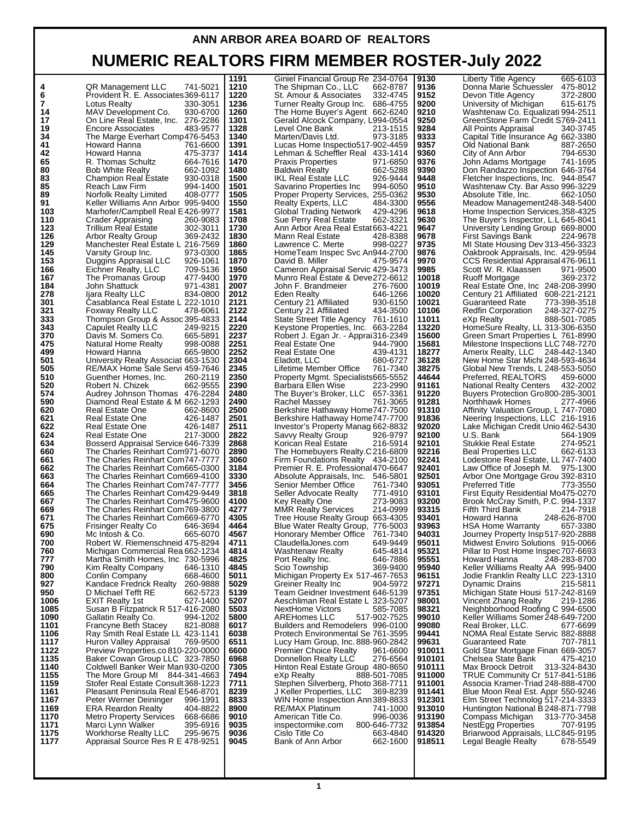## **ANN ARBOR AREA BOARD OF REALTORS NUMERIC REALTORS FIRM MEMBER ROSTER-July 2022**

|      |                                            | 1191 | Giniel Financial Group Re 234-0764       | 9130   | 665-6103<br>Liberty Title Agency           |
|------|--------------------------------------------|------|------------------------------------------|--------|--------------------------------------------|
|      |                                            |      |                                          |        |                                            |
| 4    | 741-5021<br>QR Management LLC              | 1210 | The Shipman Co., LLC<br>662-8787         | 9136   | Donna Marie Schuessler 475-8012            |
| 6    | Provident R. E. Associates 369-6117        | 1220 | St. Amour & Associates<br>332-4745       | 9152   | 372-2800<br>Devon Title Agency             |
| 7    |                                            |      |                                          |        |                                            |
|      | Lotus Realty<br>330-3051                   | 1236 | 686-4755<br>Turner Realty Group Inc.     | 9200   | 615-6175<br>University of Michigan         |
| 14   | 930-6700<br>MAV Development Co.            | 1260 | The Home Buyer's Agent 662-6240          | 9210   | Washtenaw Co. Equalizati 994-2511          |
|      |                                            |      |                                          | 9250   |                                            |
| 17   | On Line Real Estate, Inc. 276-2286         | 1301 | Gerald Alcock Company, L994-0554         |        | GreenStone Farm Credit S769-2411           |
| 19   | 483-9577<br><b>Encore Associates</b>       | 1328 | Level One Bank<br>213-1515               | 9284   | All Points Appraisal<br>340-3745           |
| 34   |                                            | 1340 |                                          |        |                                            |
|      | The Marge Everhart Comp476-5453            |      | 973-3185<br>Marten/Davis Ltd.            | 9333   | Capital Title Insurance Ag 662-3380        |
| 41   | Howard Hanna<br>761-6600                   | 1391 | Lucas Home Inspectio517-902-4459         | 9357   | Old National Bank<br>887-2650              |
|      |                                            |      |                                          |        |                                            |
| 42   | Howard Hanna<br>475-3737                   | 1414 | Lehman & Scheffler Real 433-1414         | 9360   | City of Ann Arbor<br>794-6530              |
| 65   | R. Thomas Schultz<br>664-7616              | 1470 | <b>Praxis Properties</b><br>971-6850     | 9376   | 741-1695<br>John Adams Mortgage            |
|      |                                            |      |                                          |        |                                            |
| 80   | <b>Bob White Realty</b><br>662-1092        | 1480 | <b>Baldwin Realty</b><br>662-5288        | 9390   | Don Randazzo Inspection 646-3764           |
| 83   | 930-0318<br><b>Champion Real Estate</b>    | 1500 | IKL Real Estate LLC<br>926-9444          | 9448   | Fletcher Inspections, Inc. 944-8547        |
|      |                                            |      |                                          |        |                                            |
| 85   | 994-1400<br>Reach Law Firm                 | 1501 | Savarino Properties Inc<br>994-6050      | 9510   | Washtenaw Cty. Bar Asso 996-3229           |
| 89   | Norfolk Realty Limited<br>408-0777         | 1505 | Proper Property Services, 255-0362       | 9530   | 662-1050<br>Absolute Title, Inc.           |
|      |                                            |      |                                          |        |                                            |
| 91   | Keller Williams Ann Arbor 995-9400         | 1550 | 484-3300<br><b>Realty Experts, LLC</b>   | 9556   | Meadow Management248-348-5400              |
| 103  | Marhofer/Campbell Real E426-9977           | 1581 | 429-4296<br>Global Trading Network       | 9618   | Home Inspection Services, 358-4325         |
|      |                                            |      |                                          |        |                                            |
| 110  | 260-9083<br>Crader Appraising              | 1708 | Sue Perry Real Estate<br>662-3321        | 9630   | The Buyer's Inspector, L.L 645-8041        |
| 123  | <b>Trillium Real Estate</b><br>302-3011    | 1730 | Ann Arbor Area Real Estat 663-4221       | 9647   | University Lending Group 669-8000          |
|      |                                            |      |                                          |        |                                            |
| 126  | 369-2432<br>Arbor Realty Group             | 1830 | Mann Real Estate<br>428-8388             | 9678   | <b>First Savings Bank</b><br>224-9678      |
| 129  | Manchester Real Estate L 216-7569          | 1860 | Lawrence C. Merte<br>998-0227            | 9735   | MI State Housing Dev 313-456-3323          |
|      |                                            |      |                                          |        |                                            |
| 145  | Varsity Group Inc.<br>973-0300             | 1865 | HomeTeam Inspec Svc An944-2700           | 9876   | Oakbrook Appraisals, Inc. 429-9594         |
| 153  | 926-1061<br>Duggins Appraisal LLC          | 1870 | David B. Miller<br>475-9574              | 9970   | CCS Residential Appraisal 476-9611         |
|      |                                            |      |                                          |        |                                            |
| 166  | 709-5136<br>Eichner Realty, LLC            | 1950 | Cameron Appraisal Servic 429-3473        | 9985   | Scott W. R. Klaassen<br>971-9500           |
| 167  | 477-9400<br>The Promanas Group             | 1970 | Munro Real Estate & Deve272-6612         | 10018  | 369-2372<br>Ruoff Mortgage                 |
|      |                                            |      |                                          |        |                                            |
| 184  | 971-4381<br>John Shattuck                  | 2007 | John F. Brandmeier<br>276-7600           | 10019  | Real Estate One, Inc 248-208-3990          |
| 278  | 834-0800<br>Ijara Realty LLC               | 2012 | <b>Eden Realty</b><br>646-1266           | 10020  | Century 21 Affiliated 608-221-2121         |
|      |                                            |      |                                          |        |                                            |
| 301  | Casablanca Real Estate L 222-1010          | 2121 | Century 21 Affiliated<br>930-6150        | 10021  | Guaranteed Rate<br>773-398-3518            |
| 321  | 478-6061<br>Foxway Realty LLC              | 2122 | 434-3500<br>Century 21 Affiliated        | 10106  | <b>Redfin Corporation</b><br>248-327-0275  |
| 333  |                                            |      |                                          |        |                                            |
|      | Thompson Group & Assoc 395-4833            | 2144 | State Street Title Agency 761-1610       | 11011  | eXp Realty<br>888-501-7085                 |
| 343  | Capulet Realty LLC<br>249-9215             | 2220 | Keystone Properties, Inc. 663-2284       | 13220  | HomeSure Realty, LL 313-306-6350           |
| 370  | 665-5891                                   | 2237 |                                          | 15600  |                                            |
|      | Davis M. Somers Co.                        |      | Robert J. Egan Jr. - Apprai316-2349      |        | Green Smart Properties L 761-8990          |
| 475  | Natural Home Realty<br>998-0088            | 2251 | Real Estate One<br>944-7900              | 15681  | Milestone Inspections LLC 748-7270         |
| 499  | 665-9800<br>Howard Hanna                   | 2252 | Real Estate One<br>439-4131              | 18277  | 248-442-1340<br>Amerix Realty, LLC         |
|      |                                            |      |                                          |        |                                            |
| 501  | University Realty Associat 663-1530        | 2304 | 680-6727<br>Eladott, LLC                 | 36128  | New Home Star Michi 248-593-4634           |
| 505  | RE/MAX Home Sale Servi 459-7646            | 2345 | Lifetime Member Office<br>761-7340       | 38275  | Global New Trends, L 248-553-5050          |
|      |                                            |      |                                          |        |                                            |
| 510  | Guenther Homes, Inc.<br>260-2119           | 2350 | Property Mgmt. Specialists665-5552       | 44644  | Preferred, REALTORS®<br>459-6000           |
| 520  | 662-9555<br>Robert N. Chizek               | 2390 | 223-2990<br>Barbara Ellen Wise           | 91161  | 432-2002<br><b>National Realty Centers</b> |
|      |                                            |      |                                          |        |                                            |
| 574  | Audrey Johnson Thomas 476-2284             | 2480 | The Buyer's Broker, LLC 657-3361         | 91220  | Buyers Protection Gro800-285-3001          |
| 590  | Diamond Real Estate & M 662-1293           | 2490 | Rachel Massey<br>761-3065                | 91281  | Northhawk Homes<br>277-4966                |
|      |                                            |      |                                          |        |                                            |
| 620  | 662-8600<br>Real Estate One                | 2500 | Berkshire Hathaway Home747-7500          | 91310  | Affinity Valuation Group, L 747-7080       |
| 621  | Real Estate One<br>426-1487                | 2501 | Berkshire Hathaway Home747-7700          | 91836  | Neering Inspections, LLC 216-1916          |
|      |                                            |      |                                          |        |                                            |
| 622  | Real Estate One<br>426-1487                | 2511 | Investor's Property Manag 662-8832       | 92020  | Lake Michigan Credit Unio 462-5430         |
| 624  | 217-3000<br>Real Estate One                | 2822 | 926-9797<br>Savvy Realty Group           | 92100  | U.S. Bank<br>564-1909                      |
|      |                                            |      |                                          |        |                                            |
| 634  | Bosserd Appraisal Service 646-7339         | 2868 | Korican Real Estate<br>216-5914          | 92101  | 274-9521<br><b>Stukkie Real Estate</b>     |
| 660  | The Charles Reinhart Com971-6070           | 2890 | The Homebuyers Realty.C216-6809          | 92216  | 662-6133<br><b>Beal Properties LLC</b>     |
|      |                                            |      |                                          |        |                                            |
| 661  | The Charles Reinhart Com747-7777           | 3060 | Firm Foundations Realty 434-2100         | 92241  | Lodestone Real Estate, LL747-7400          |
| 662  | The Charles Reinhart Com665-0300           | 3184 | Premier R. E. Professional 470-6647      | 92401  | Law Office of Joseph M. 975-1300           |
|      |                                            |      |                                          |        |                                            |
| 663  | The Charles Reinhart Com669-4100           | 3330 | Absolute Appraisals, Inc. 546-5801       | 92501  | Arbor One Mortgage Grou 392-8310           |
| 664  | The Charles Reinhart Com747-7777           | 3456 | 761-7340<br>Senior Member Office         | 93051  | <b>Preferred Title</b><br>773-3550         |
|      |                                            |      |                                          |        |                                            |
| 665  | The Charles Reinhart Com429-9449           | 3818 | Seller Advocate Realty<br>771-4910       | 93101  | First Equity Residential Mo475-0270        |
| 667  | The Charles Reinhart Com475-9600           | 4100 | 273-9083<br>Key Realty One               | 93200  | Brook McCray Smith, P.C. 994-1337          |
|      |                                            |      |                                          |        |                                            |
| 669  | The Charles Reinhart Com769-3800           | 4277 | 214-0999<br><b>MMR Realty Services</b>   | 93315  | <b>Fifth Third Bank</b><br>214-7918        |
| 671  | The Charles Reinhart Com669-6770           | 4305 | Tree House Realty Group 663-4305         | 93401  | Howard Hanna<br>248-626-8700               |
| 675  |                                            | 4464 |                                          | 93963  | <b>HSA Home Warranty</b><br>657-3380       |
|      | <b>Frisinger Realty Co</b><br>646-3694     |      | Blue Water Realty Group, 776-5003        |        |                                            |
| 690  | 665-6070<br>Mc Intosh & Co.                | 4567 | Honorary Member Office 761-7340          | 94031  | Journey Property Insp 517-920-2888         |
| 700  | Robert W. Riemenschneid 475-8294           | 4711 | ClaudellaJones.com<br>649-9449           | 95011  | Midwest Enviro Solutions 915-0066          |
|      |                                            |      |                                          |        |                                            |
| 760  | Michigan Commercial Rea 662-1234           | 4814 | <b>Washtenaw Realty</b><br>645-4814      | 95321  | Pillar to Post Home Inspec 707-6693        |
| 777  | Martha Smith Homes, Inc 730-5996           | 4825 | Port Realty Inc.<br>646-7886             | 95551  | Howard Hanna<br>248-283-8700               |
| 790  |                                            |      | Scio Township                            |        |                                            |
|      | Kim Realty Company<br>646-1310             | 4845 | 369-9400                                 | 95940  | Keller Williams Realty AA 995-9400         |
| 800  | Conlin Company<br>668-4600                 | 5011 | Michigan Property Ex 517-467-7653        | 96151  | Jodie Franklin Realty LLC 223-1310         |
| 927  | Kandace Fredrick Realty<br>260-9888        | 5029 | Greiner Realty Inc<br>904-5972           | 97271  | <b>Dynamic Drains</b><br>215-5811          |
|      |                                            |      |                                          |        |                                            |
| 950  | D Michael Tefft RE<br>662-5723             | 5139 | Team Geidner Investment 646-5139         | 97351  | Michigan State Housi 517-242-8169          |
| 1006 | <b>EXIT Realty 1st</b><br>627-1400         | 5207 | Aeschliman Real Estate L 323-5207        | 98001  | Vincent Zhang Realty<br>219-1286           |
|      |                                            |      |                                          |        |                                            |
| 1085 | Susan B Fitzpatrick R 517-416-2080         | 5503 | <b>NextHome Victors</b><br>585-7085      | 98321  | Neighbborhood Roofing C 994-6500           |
| 1090 | Gallatin Realty Co.<br>994-1202            | 5800 | AREHomes LLC<br>517-902-7525             | 99010  | Keller Williams Somer 248-649-7200         |
|      |                                            |      |                                          |        |                                            |
| 1101 | <b>Francyne Beth Stacey</b><br>821-8088    | 6017 | Builders and Remodelers 996-0100         | 99080  | Real Broker, LLC.<br>677-6699              |
| 1106 | Ray Smith Real Estate LL 423-1141          | 6038 | Protech Environmental Se 761-3595        | 99441  | NOMA Real Estate Servic 882-8888           |
|      |                                            |      |                                          |        |                                            |
| 1117 | Huron Valley Appraisal<br>769-9500         | 6511 | Lucy Ham Group, Inc. 888-960-2842        | 99631  | <b>Guaranteed Rate</b><br>707-7811         |
| 1122 | Preview Properties.co 810-220-0000         | 6600 | <b>Premier Choice Realty</b><br>961-6600 | 910011 | Gold Star Mortgage Finan 669-3057          |
|      |                                            |      |                                          |        |                                            |
| 1135 | Baker Cowan Group LLC 323-7850             | 6968 | Donnellon Realty LLC<br>276-6564         | 910101 | Chelsea State Bank<br>475-4210             |
| 1140 | Coldwell Banker Weir Man 930-0200          | 7305 | Hinton Real Estate Group 480-8650        | 910111 | 313-324-8430<br>Max Broock Detroit         |
|      |                                            |      |                                          |        |                                            |
| 1155 | The More Group MI 844-341-4663             | 7494 | eXp Realty<br>888-501-7085               | 911000 | TRUE Community Cr 517-841-5186             |
| 1159 | Stofer Real Estate Consult 368-1223        | 7711 | Stephen Silverberg, Photo 368-7711       | 911001 | Associa Kramer-Triad 248-888-4700          |
| 1161 | Pleasant Peninsula Real E546-8701          | 8239 | J Keller Properties, LLC<br>369-8239     | 911441 | Blue Moon Real Est. Appr 550-9246          |
|      |                                            |      |                                          |        |                                            |
| 1167 | Peter Werner Deininger<br>996-1991         | 8833 | WIN Home Inspection Ann 389-8833         | 912301 | Elm Street Technolog 517-214-3333          |
| 1169 | <b>ERA Reardon Realty</b><br>404-8822      | 8900 | <b>RE/MAX Platinum</b><br>741-1000       | 913010 | Huntington National B 248-871-7798         |
|      |                                            |      |                                          |        |                                            |
| 1170 | <b>Metro Property Services</b><br>668-6686 | 9010 | American Title Co.<br>996-0036           | 913190 | Compass Michigan<br>313-770-3458           |
| 1171 | Marci Lynn Walker<br>395-6916              | 9035 | inspectormike.com<br>800-646-7732        | 913854 | NestEgg Properties<br>707-9195             |
|      |                                            |      |                                          |        |                                            |
| 1175 | <b>Workhorse Realty LLC</b><br>295-9675    | 9036 | Cislo Title Co<br>663-4840               | 914320 | Briarwood Appraisals, LLC845-9195          |
| 1177 | Appraisal Source Res R E 478-9251          | 9045 | Bank of Ann Arbor<br>662-1600            | 918511 | Legal Beagle Realty<br>678-5549            |
|      |                                            |      |                                          |        |                                            |
|      |                                            |      |                                          |        |                                            |